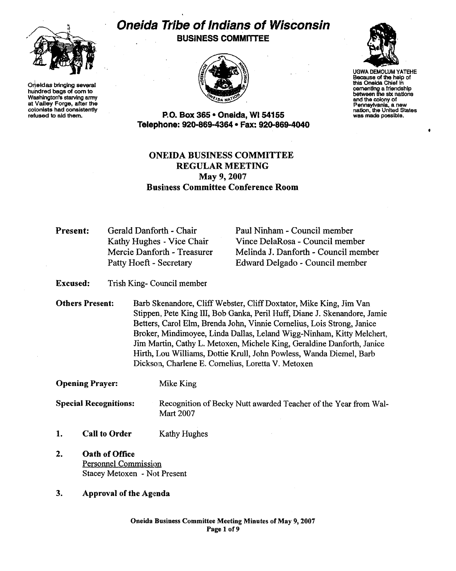

Oneidas bringing several hundred bags of com to Washington's starving army at Valley Forge, after the colonists had consistently refused to aid them.

# **Oneida Tt'ibe ofIndians of Wisconsin** BUSINESS COMMITTEE





UGWA DEMOLUM YATEHE Because of the help of this Oneida Chief in cementing a friendship between the sIX nations and the colony of<br>Pennsylvania, a new nation, the United States<br>was made possible.

 $\bullet$ 

P.O. Box 365 • Oneida, WI 54155 Telephone: 920-869-4364 • Fax: 920-869-4040

## ONEIDA BUSINESS COMMITTEE REGULAR MEETING May 9, 2007 **Business Committee Conference Room**

Present: Gerald Danforth - Chair Kathy Hughes - Vice Chair Mercie Danforth - Treasurer Patty Hoeft - Secretary

Paul Ninham - Council member Vince DelaRosa - Council member Melinda J. Danforth - Council member Edward Delgado - Council member

Excused: Trish King- Council member

Others Present: Barb Skenandore, Cliff Webster, Cliff Doxtator, Mike King, Jim Van Stippen, Pete King III, Bob Ganka, Peril Huff, Diane J. Skenandore, Jamie Betters, Carol Elm, Brenda John, Vinnie Cornelius, Lois Strong, Janice Broker, Mindimoyee, Linda Dallas, Leland Wigg-Ninham, Kitty Melchert, Jim Martin, Cathy L. Metoxen, Michele King, Geraldine Danforth, Janice Hirth, Lou Williams, Dottie Krull, John Powless, Wanda Diemel, Barb Dickson, Charlene E. Cornelius, Loretta V. Metoxen

Opening Prayer: Mike King

**Special Recognitions:** Recognition of Becky Nutt awarded Teacher of the Year from Wal-Mart 2007

- 1. Call to Order Kathy Hughes
- 2. Oath of Office Personnel Commission Stacey Metoxen - Not Present
- 3. Approval of the Agenda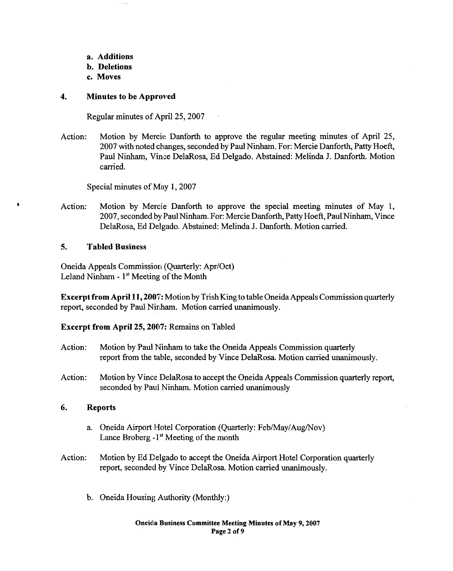- a. Additions
- b. Deletions
- c. Moves

## 4. Minutes to be Approved

Regular minutes of April 25, 2007

Action: Motion by Mercie: Danforth to approve the regular meeting minutes of April 25, 2007 with noted changes, seconded by Paul Ninham. For: Mercie Danforth, Patty Hoeft, Paul Ninham, Vince DelaRosa, Ed Delgado. Abstained: Melinda J. Danforth. Motion carried.

Special minutes of May 1, 2007

Action: Motion by Mercie Danforth to approve the special meeting minutes of May 1, 2007, seconded by Paul Ninham. For: Mercie Danforth, Patty Hoeft, Paul Ninham, Vince DelaRosa, Ed Delgado. Abstained: Melinda 1. Danforth. Motion carried.

## 5. Tabled Business

 $\bullet$ 

Oneida Appeals Commission (Quarterly: Apr/Oct) Leland Ninham - 1<sup>st</sup> Meeting of the Month

Excerpt from April 11, 2007: Motion by Trish King to table Oneida Appeals Commission quarterly report, seconded by Paul Ninham. Motion carried unanimously.

## Excerpt from April 25, 2007: Remains on Tabled

- Action: Motion by Paul Ninham to take the Oneida Appeals Commission quarterly report from the table, seconded by Vince DelaRosa. Motion carried unanimously.
- Action: Motion by Vince DelaRosa to accept the Oneida Appeals Commission quarterly report, seconded by Paul Ninham. Motion carried unanimously

## 6. Reports

- a. Oneida Airport Hotel Corporation (Quarterly: Feb/May/Aug/Nov) Lance Broberg  $-1<sup>st</sup>$  Meeting of the month
- Action: Motion by Ed Delgado to accept the Oneida Airport Hotel Corporation quarterly report, seconded by Vince DelaRosa. Motion carried unanimously.
	- b. Oneida Housing Authority (Monthly:)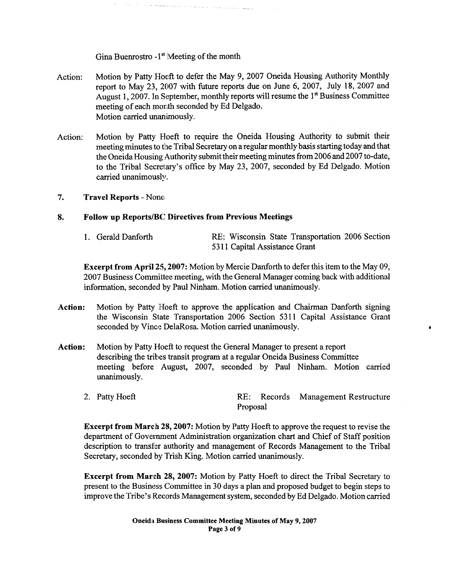Gina Buenrostro -1<sup>st</sup> Meeting of the month

 $\tau$  ,  $\tau$  ,  $\tau$  ,  $\tau$  , and the second contract of the second second second second second second second second second second second second second second second second second second second second second second second s

- Action: Motion by Patty Hoeft to defer the May 9, 2007 Oneida Housing Authority Monthly report to May 23, 2007 with future reports due on June 6, 2007, July 18, 2007 and August 1, 2007. In September, monthly reports will resume the 1<sup>st</sup> Business Committee meeting of each month seconded by Ed Delgado. Motion carried unanimously.
- Action: Motion by Patty Hoeft to require the Oneida Housing Authority to submit their meeting minutes to the Tribal Secretary on a regular monthly basisstarting today and that the Oneida Housing Authority submit their meeting minutes from 2006 and 2007 to-date, to the Tribal Secretary's office by May 23, 2007, seconded by Ed Delgado. Motion carried unanimously.
- 7. Travel Reports Nom:

## 8. Follow up Reports/BC Directives from Previous Meetings

| 1. Gerald Danforth |                               |  |  | RE: Wisconsin State Transportation 2006 Section |  |  |
|--------------------|-------------------------------|--|--|-------------------------------------------------|--|--|
|                    | 5311 Capital Assistance Grant |  |  |                                                 |  |  |

Excerpt from April 25, 2007: Motion by Mercie Danforth to defer this item to the May 09, 2007 Business Committee meeting, with the General Manager coming back with additional information, seconded by Paul Ninham. Motion carried unanimously.

•

- Action: Motion by Patty Hoeft to approve the application and Chairman Danforth signing the Wisconsin State Transportation 2006 Section 5311 Capital Assistance Grant seconded by Vince DelaRosa. Motion carried unanimously.
- Action: Motion by Patty Hoeft to request the General Manager to present a report describing the tribes transit program at a regular Oneida Business Committee meeting before August, 2007, seconded by Paul Ninham. Motion carried unanimously.
	- 2. Patty Hoeft Records Management Restructure Proposal

Excerpt from March 28, 2007: Motion by Patty Hoeft to approve the request to revise the department of Government Administration organization chart and Chief of Staff position description to transfer authority and management of Records Management to the Tribal Secretary, seconded by Trish King. Motion carried unanimously.

Excerpt from March 28, 2007: Motion by Patty Hoeft to direct the Tribal Secretary to present to the Business Committee in 30 days a plan and proposed budget to begin steps to improve the Tribe's Records Management system, seconded by Ed Delgado. Motion carried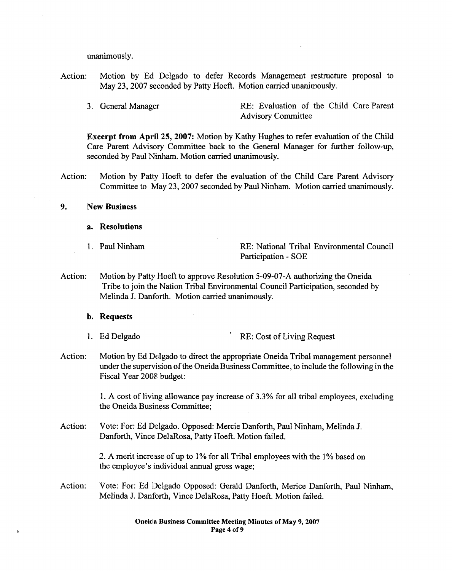unanimously.

- Action: Motion by Ed Delgado to defer Records Management restructure proposal to May 23,2007 seconded by Patty Hoeft. Motion carried unanimously.
	-

3. General Manager RE: Evaluation of the Child Care Parent Advisory Committee

Excerpt from April 25, 2007: Motion by Kathy Hughes to refer evaluation of the Child Care Parent Advisory Committee back to the General Manager for further follow-up, seconded by Paul Ninham. Motion carried unanimously.

- Action: Motion by Patty Hoeft to defer the evaluation of the Child Care Parent Advisory Committee to May 23,2007 seconded by Paul Ninham. Motion carried unanimously.
- 9. New Business
	- a. Resolutions
	-

1. Paul Ninham RE: National Tribal Environmental Council Participation - SOE

Action: Motion by Patty Hoeft to approve Resolution 5-09-07-A authorizing the Oneida Tribe to join the Nation Tribal Environmental Council Participation, seconded by Melinda J. Danforth. Motion carried unanimously.

b. Requests

- 1. Ed Delgado . RE: Cost of Living Request
- Action: Motion by Ed Delgado to direct the appropriate Oneida Tribal management personnel under the supervision of the Oneida Business Committee, to include the following in the Fiscal Year 2008 budget:

1. A cost of living allowance pay increase of 3.3% for all tribal employees, excluding the Oneida Business Committee;

Action: Vote: For: Ed Delgado. Opposed: Mercie Danforth, Paul Ninham, Melinda J. Danforth, Vince DelaRosa, Patty Hoeft. Motion failed.

> 2. A merit increase of up to I% for all Tribal employees with the 1% based on the employee's individual annual gross wage;

Action: Vote: For: Ed Delgado Opposed: Gerald Danforth, Merice Danforth, Paul Ninham, Melinda 1. Danforth, Vince DelaRosa, Patty Hoeft. Motion failed.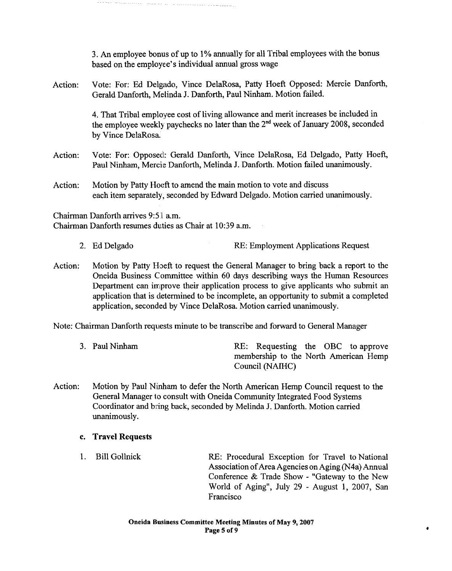3. An employee bonus of up to 1% annually for all Tribal employees with the bonus based on the employee's individual annual gross wage

Action: Vote: For: Ed Delgado, Vince DelaRosa, Patty Hoeft Opposed: Mercie Danforth, Gerald Danforth, Melinda J. Danforth, Paul Ninham. Motion failed.

**Services and and all the services** 

4. That Tribal employee cost of living allowance and merit increases be included in the employee weekly paychecks no later than the  $2<sup>nd</sup>$  week of January 2008, seconded by Vince DelaRosa.

- Action: Vote: For: Opposed: Gerald Danforth, Vince DelaRosa, Ed Delgado, Patty Hoeft, Paul Ninham, Mercie Danforth, Melinda J. Danforth. Motion failed unanimously.
- Action: Motion by Patty Hoeft to amend the main motion to vote and discuss each item separately, seconded by Edward Delgado. Motion carried unanimously.

Chairman Danforth arrives 9:51 a.m. Chairman Danforth resumes duties as Chair at 10:39 a.m.

- 2. Ed Delgado RE: Employment Applications Request
- Action: Motion by Patty Hoeft to request the General Manager to bring back a report to the Oneida Business Committee within 60 days describing ways the Human Resources Department can improve their application process to give applicants who submit an application that is determined to be incomplete, an opportunity to submit a completed application, seconded by Vince DelaRosa. Motion carried unanimously.

Note: Chairman Danforth requests minute to be transcribe and forward to General Manager

- 3. Paul Ninham RE: Requesting the OBC to approve membership to the North American Hemp Council (NAIHC)
- Action: Motion by Paul Ninham to defer the North American Hemp Council request to the General Manager 10 consult with Oneida Community Integrated Food Systems Coordinator and bring back, seconded by Melinda J. Danforth. Motion carried unanimously.

#### c. Travel Requests

1. Bill Gollnick RE: Procedural Exception for Travel to National Association of Area Agencies on Aging (N4a) Annual Conference & Trade Show - "Gateway to the New World of Aging", July 29 - August 1, 2007, San Francisco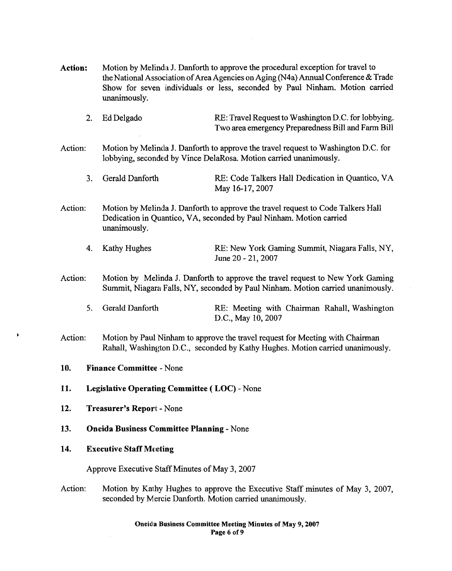- Action: Motion by Melinda J. Danforth to approve the procedural exception for travel to the National Association of Area Agencies on Aging (N4a) Annual Conference & Trade Show for seven individuals or less, seconded by Paul Ninham. Motion carried unanimously.
	- 2. Ed Delgado RE: Travel Request to Washington D.C. for lobbying. Two area emergency Preparedness Bill and Farm Bill
- Action: Motion by Melinda J. Danforth to approve the travel request to Washington D.C. for lobbying, seconded by Vince DelaRosa. Motion carried unanimously.
	- 3. Gerald Danforth RE: Code Talkers Hall Dedication in Quantico, VA May 16-17,2007
- Action: Motion by Melinda J. Danforth to approve the travel request to Code Talkers Hall Dedication in Quantico, VA, seconded by Paul Ninham. Motion carried unanimously.
	- 4. Kathy Hughes RE: New York Gaming Summit, Niagara Falls, NY, June 20 - 21, 2007
- Action: Motion by Melinda J. Danforth to approve the travel request to New York Gaming Summit, Niagara Falls, NY, seconded by Paul Ninham. Motion carried unanimously.
	- 5. Gerald Danforth RE: Meeting with Chairman Rahall, Washington D.C., May 10,2007
- Action: Motion by Paul Ninham to approve the travel request for Meeting with Chairman Rahall, Washington D.C., seconded by Kathy Hughes. Motion carried unanimously.
- 10. Finance Committee None
- 11. Legislative Operating Committee ( LOC) None
- 12. Treasurer's Report None
- 13. Oneida Business Committee Planning None
- 14. Executive Staff Meeting

Approve Executive Staff Minutes of May 3, 2007

Action: Motion by Kathy Hughes to approve the Executive Staff minutes of May 3, 2007, seconded by Mercie Danforth. Motion carried unanimously.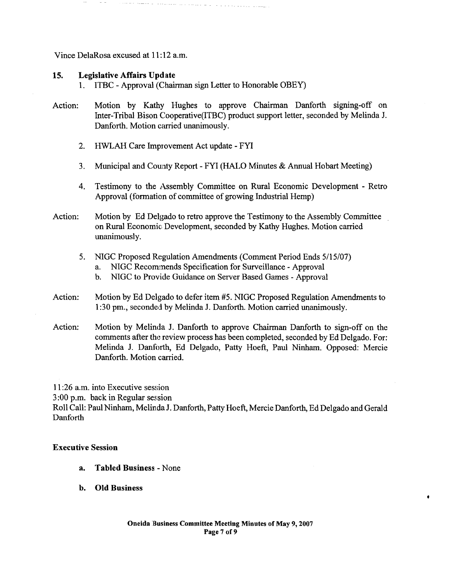Vince DelaRosa excused at 11:12 a.m.

## 15. Legislative Affairs Update

- 1. ITBC Approval (Chairman sign Letter to Honorable OBEY)
- Action: Motion by Kathy Hughes to approve Chairman Danforth signing-off on Inter-Tribal Bison Cooperative(lTBC) product support letter, seconded by Melinda J. Danforth. Motion carried unanimously.
	- 2. HWLAH Care Improvement Act update FYI
	- 3. Municipal and County Report FYI (HALO Minutes & Annual Hobart Meeting)
	- 4. Testimony to the Assembly Committee on Rural Economic Development Retro Approval (formation of committee of growing Industrial Hemp)
- Action: Motion by Ed Delgado to retro approve the Testimony to the Assembly Committee on Rural Economic: Development, seconded by Kathy Hughes. Motion carried unanimously.
	- 5. NIGC Proposed Regulation Amendments (Comment Period Ends 5/15/07)
		- a. NIGC Recommends Specification for Surveillance Approval
		- b. NIGC to Provide Guidance on Server Based Games Approval
- Action: Motion by Ed Delgado to defer item #5. NIGC Proposed Regulation Amendments to 1:30 pm., seconded by Melinda J. Danforth. Motion carried unanimously.
- Action: Motion by Melinda J. Danforth to approve Chairman Danforth to sign-off on the comments after the review process has been completed, seconded by Ed Delgado. For: Melinda 1. Danforth, Ed Delgado, Patty Hoeft, Paul Ninham. Opposed: Mercie Danforth. Motion carried.

 $11:26$  a.m. into Executive session

3:00 p.m. back in Regular session

Roll Call: Paul Ninham, Melinda J. Danforth, Patty Hoeft, Mercie Danforth, Ed Delgado and Gerald Danforth

#### Executive Session

- a. Tabled Business None
- b. Old Business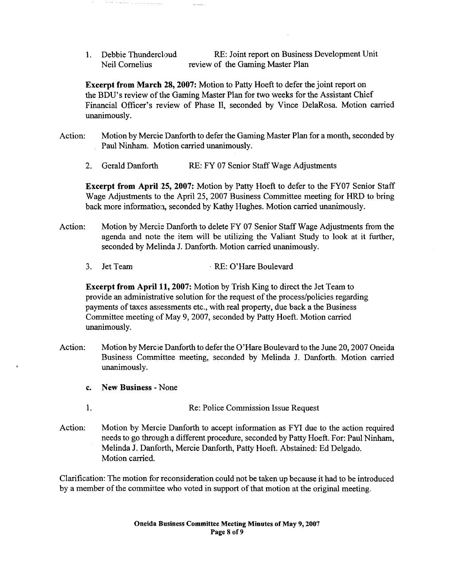1. Debbie Thundercloud Neil Cornelius RE: Joint report on Business Development Unit review of the Gaming Master Plan

Excerpt from March 28,2007: Motion to Patty Hoeft to defer the joint report on the BDU's review of the Gaming Master Plan for two weeks for the Assistant Chief Financial Officer's review of Phase II, seconded by Vince DelaRosa. Motion carried unanimously.

- Action: Motion by Mercie Danforth to defer the Gaming Master Plan for a month, seconded by Paul Ninham. Motion carried unanimously.
	- 2. Gerald Danforth RE: FY 07 Senior Staff Wage Adjustments

Excerpt from April 25, 2007: Motion by Patty Hoeft to defer to the FY07 Senior Staff Wage Adjustments to the April 25, 2007 Business Committee meeting for HRD to bring back more information, seconded by Kathy Hughes. Motion carried unanimously.

- Action: Motion by Mercie Danforth to delete FY 07 Senior Staff Wage Adjustments from the agenda and note the item will be utilizing the Valiant Study to look at it further, seconded by Melinda J. Danforth. Motion carried unanimously.
	- 3. Jet Team , RE: O'Hare Boulevard

Excerpt from April 11, 2007: Motion by Trish King to direct the Jet Team to provide an administrative solution for the request of the process/policies regarding payments of taxes assessments etc., with real property, due back a the Business Committee meeting of May 9, 2007, seconded by Patty Hoeft. Motion carried unanimously.

- Action: Motion by Mercie Danforth to defer the O'Hare Boulevard to the June 20, 2007 Oneida Business Committee meeting, seconded by Melinda J. Danforth. Motion carried unanimously.
	- c. New Business None
	- 1. Re: Police Commission Issue Request
- Action: Motion by Mercie Danforth to accept information as FYI due to the action required needs to go through a different procedure, seconded by Patty Hoeft. For: Paul Ninham, Melinda J. Danforth, Mercie Danforth, Patty Hoeft. Abstained: Ed Delgado. Motion carried.

Clarification: The motion for reconsideration could not be taken up because it had to be introduced by a member of the committee who voted in support of that motion at the original meeting.